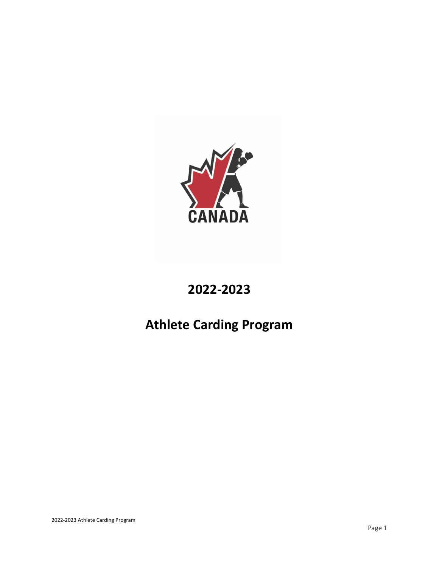

# **2022-2023**

# **Athlete Carding Program**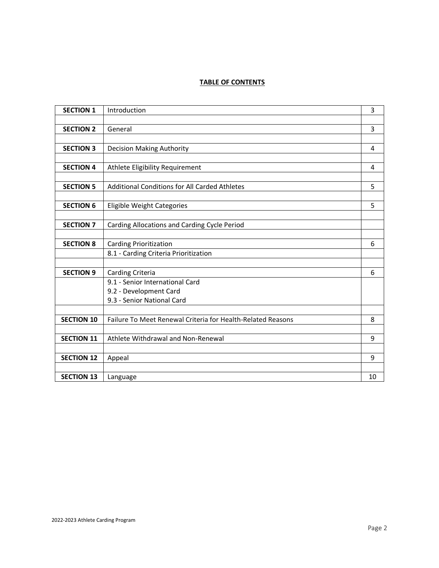# **TABLE OF CONTENTS**

| <b>SECTION 1</b>  | Introduction                                                | 3  |
|-------------------|-------------------------------------------------------------|----|
|                   |                                                             |    |
| <b>SECTION 2</b>  | General                                                     | 3  |
|                   |                                                             |    |
| <b>SECTION 3</b>  | <b>Decision Making Authority</b>                            | 4  |
|                   |                                                             |    |
| <b>SECTION 4</b>  | Athlete Eligibility Requirement                             | 4  |
|                   |                                                             |    |
| <b>SECTION 5</b>  | <b>Additional Conditions for All Carded Athletes</b>        | 5  |
|                   |                                                             |    |
| <b>SECTION 6</b>  | <b>Eligible Weight Categories</b>                           | 5  |
|                   |                                                             |    |
| <b>SECTION 7</b>  | Carding Allocations and Carding Cycle Period                |    |
|                   |                                                             |    |
| <b>SECTION 8</b>  | <b>Carding Prioritization</b>                               | 6  |
|                   | 8.1 - Carding Criteria Prioritization                       |    |
|                   |                                                             |    |
| <b>SECTION 9</b>  | Carding Criteria                                            | 6  |
|                   | 9.1 - Senior International Card                             |    |
|                   | 9.2 - Development Card                                      |    |
|                   | 9.3 - Senior National Card                                  |    |
|                   |                                                             |    |
| <b>SECTION 10</b> | Failure To Meet Renewal Criteria for Health-Related Reasons | 8  |
|                   |                                                             |    |
| <b>SECTION 11</b> | Athlete Withdrawal and Non-Renewal                          | 9  |
|                   |                                                             |    |
| <b>SECTION 12</b> | Appeal                                                      | 9  |
|                   |                                                             |    |
| <b>SECTION 13</b> | Language                                                    | 10 |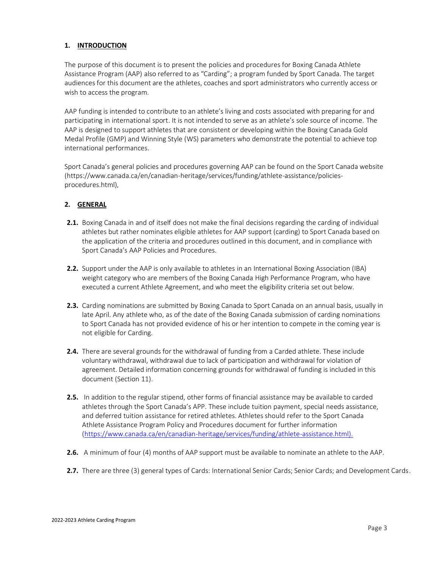# **1. INTRODUCTION**

The purpose of this document is to present the policies and procedures for Boxing Canada Athlete Assistance Program (AAP) also referred to as "Carding"; a program funded by Sport Canada. The target audiences for this document are the athletes, coaches and sport administrators who currently access or wish to access the program.

AAP funding is intended to contribute to an athlete's living and costs associated with preparing for and participating in international sport. It is not intended to serve as an athlete's sole source of income. The AAP is designed to support athletes that are consistent or developing within the Boxing Canada Gold Medal Profile (GMP) and Winning Style (WS) parameters who demonstrate the potential to achieve top international performances.

Sport Canada's general policies and procedures governing AAP can be found on the Sport Canada website (https://www.canada.ca/en/canadian-heritage/services/funding/athlete-assistance/policiesprocedures.html)*.* 

#### **2. GENERAL**

- **2.1.** Boxing Canada in and of itself does not make the final decisions regarding the carding of individual athletes but rather nominates eligible athletes for AAP support (carding) to Sport Canada based on the application of the criteria and procedures outlined in this document, and in compliance with Sport Canada's AAP Policies and Procedures.
- **2.2.** Support under the AAP is only available to athletes in an International Boxing Association (IBA) weight category who are members of the Boxing Canada High Performance Program, who have executed a current Athlete Agreement, and who meet the eligibility criteria set out below.
- **2.3.** Carding nominations are submitted by Boxing Canada to Sport Canada on an annual basis, usually in late April. Any athlete who, as of the date of the Boxing Canada submission of carding nominations to Sport Canada has not provided evidence of his or her intention to compete in the coming year is not eligible for Carding.
- **2.4.** There are several grounds for the withdrawal of funding from a Carded athlete. These include voluntary withdrawal, withdrawal due to lack of participation and withdrawal for violation of agreement. Detailed information concerning grounds for withdrawal of funding is included in this document (Section 11).
- **2.5.** In addition to the regular stipend, other forms of financial assistance may be available to carded athletes through the Sport Canada's APP. These include tuition payment, special needs assistance, and deferred tuition assistance for retired athletes. Athletes should refer to the Sport Canada Athlete Assistance Program Policy and Procedures document for further information (https://www.canada.ca/en/canadian-heritage/services/funding/athlete-assistance.html).
- **2.6.** A minimum of four (4) months of AAP support must be available to nominate an athlete to the AAP.
- **2.7.** There are three (3) general types of Cards: International Senior Cards; Senior Cards; and Development Cards.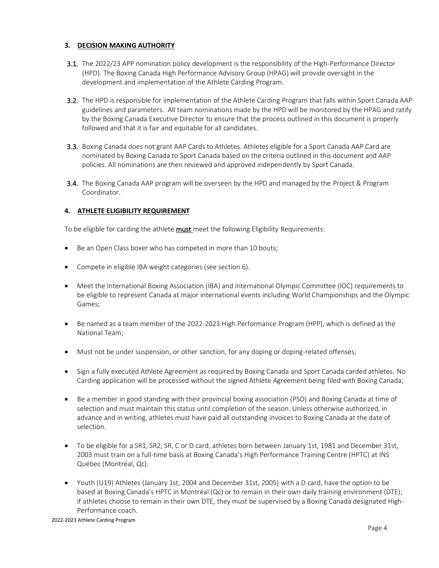# **3. DECISION MAKING AUTHORITY**

- 3.1. The 2022/23 APP nomination policy development is the responsibility of the High-Performance Director (HPD). The Boxing Canada High Performance Advisory Group (HPAG) will provide oversight in the development and implementation of the Athlete Carding Program.
- 3.2. The HPD is responsible for implementation of the Athlete Carding Program that falls within Sport Canada AAP guidelines and parameters. All team nominations made by the HPD will be monitored by the HPAG and ratify by the Boxing Canada Executive Director to ensure that the process outlined in this document is properly followed and that it is fair and equitable for all candidates.
- 3.3. Boxing Canada does not grant AAP Cards to Athletes. Athletes eligible for a Sport Canada AAP Card are nominated by Boxing Canada to Sport Canada based on the criteria outlined in this document and AAP policies. All nominations are then reviewed and approved independently by Sport Canada.
- **3.4.** The Boxing Canada AAP program will be overseen by the HPD and managed by the Project & Program Coordinator.

# **4. ATHLETE ELIGIBILITY REQUIREMENT**

To be eligible for carding the athlete **must** meet the following Eligibility Requirements:

- Be an Open Class boxer who has competed in more than 10 bouts;
- Compete in eligible IBA weight categories (see section 6).
- Meet the International Boxing Association (IBA) and International Olympic Committee (IOC) requirements to be eligible to represent Canada at major international events including World Championships and the Olympic Games;
- Be named as a team member of the 2022-2023 High Performance Program (HPP), which is defined as the National Team;
- Must not be under suspension, or other sanction, for any doping or doping-related offenses;
- Sign a fully executed Athlete Agreement as required by Boxing Canada and Sport Canada carded athletes. No Carding application will be processed without the signed Athlete Agreement being filed with Boxing Canada;
- Be a member in good standing with their provincial boxing association (PSO) and Boxing Canada at time of selection and must maintain this status until completion of the season. Unless otherwise authorized, in advance and in writing, athletes must have paid all outstanding invoices to Boxing Canada at the date of selection.
- To be eligible for a SR1, SR2, SR, C or D card, athletes born betweenJanuary 1st, 1981 and December 31st, 2003 must train on a full-time basis at Boxing Canada's High Performance Training Centre (HPTC) at INS Québec (Montréal, Qc).
- Youth (U19) Athletes (January 1st, 2004 and December 31st, 2005) with a D card, have the option to be based at Boxing Canada's HPTC in Montréal (Qc) or to remain in their own daily training environment (DTE); if athletes choose to remain in their own DTE, they must be supervised by a Boxing Canada designated High-Performance coach.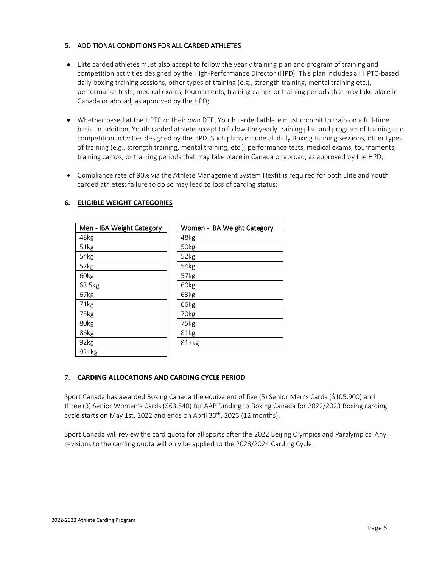# 5. ADDITIONAL CONDITIONS FOR ALL CARDED ATHLETES

- Elite carded athletes must also accept to follow the yearly training plan and program of training and competition activities designed by the High-Performance Director (HPD). This plan includes all HPTC-based daily boxing training sessions, other types of training (e.g., strength training, mental training etc.), performance tests, medical exams, tournaments, training camps or training periods that may take place in Canada or abroad, as approved by the HPD;
- Whether based at the HPTC or their own DTE, Youth carded athlete must commit to train on a full-time basis. In addition, Youth carded athlete accept to follow the yearly training plan and program of training and competition activities designed by the HPD. Such plans include all daily Boxing training sessions, other types of training (e.g., strength training, mental training, etc.), performance tests, medical exams, tournaments, training camps, or training periods that may take place in Canada or abroad, as approved by the HPD;
- Compliance rate of 90% via the Athlete Management System Hexfit is required for both Elite and Youth carded athletes; failure to do so may lead to loss of carding status;

| Men - IBA Weight Category | Women - IBA Weight Category |
|---------------------------|-----------------------------|
| 48kg                      | 48kg                        |
| 51kg                      | 50kg                        |
| 54kg                      | 52kg                        |
| 57kg                      | 54kg                        |
| 60kg                      | 57kg                        |
| 63.5kg                    | 60kg                        |
| 67kg                      | 63kg                        |
| 71kg                      | 66kg                        |
| 75kg                      | 70kg                        |
| 80kg                      | 75kg                        |
| 86kg                      | 81kg                        |
| 92kg                      | $81+kg$                     |
| $92+kg$                   |                             |

# **6. ELIGIBLE WEIGHT CATEGORIES**

# 7. **CARDING ALLOCATIONS AND CARDING CYCLE PERIOD**

Sport Canada has awarded Boxing Canada the equivalent of five (5) Senior Men's Cards (\$105,900) and three (3) Senior Women's Cards (\$63,540) for AAP funding to Boxing Canada for 2022/2023 Boxing carding cycle starts on May 1st, 2022 and ends on April 30<sup>th</sup>, 2023 (12 months).

Sport Canada will review the card quota for all sports after the 2022 Beijing Olympics and Paralympics. Any revisions to the carding quota will only be applied to the 2023/2024 Carding Cycle.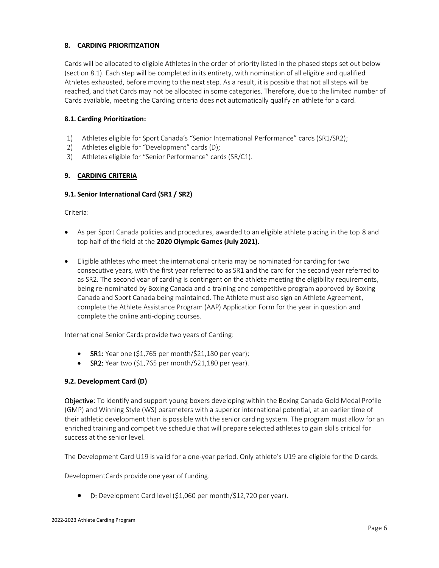# **8. CARDING PRIORITIZATION**

Cards will be allocated to eligible Athletes in the order of priority listed in the phased steps set out below (section 8.1). Each step will be completed in its entirety, with nomination of all eligible and qualified Athletes exhausted, before moving to the next step. As a result, it is possible that not all steps will be reached, and that Cards may not be allocated in some categories. Therefore, due to the limited number of Cards available, meeting the Carding criteria does not automatically qualify an athlete for a card.

#### **8.1. Carding Prioritization:**

- 1) Athletes eligible for Sport Canada's "Senior International Performance" cards (SR1/SR2);
- 2) Athletes eligible for "Development" cards (D);
- 3) Athletes eligible for "Senior Performance" cards (SR/C1).

#### **9. CARDING CRITERIA**

#### **9.1. Senior International Card (SR1 / SR2)**

Criteria:

- As per Sport Canada policies and procedures, awarded to an eligible athlete placing in the top 8 and top half of the field at the **2020 Olympic Games (July 2021).**
- Eligible athletes who meet the international criteria may be nominated for carding for two consecutive years, with the first year referred to as SR1 and the card for the second year referred to as SR2. The second year of carding is contingent on the athlete meeting the eligibility requirements, being re-nominated by Boxing Canada and a training and competitive program approved by Boxing Canada and Sport Canada being maintained. The Athlete must also sign an Athlete Agreement, complete the Athlete Assistance Program (AAP) Application Form for the year in question and complete the online anti-doping courses.

International Senior Cards provide two years of Carding:

- SR1: Year one  $(51,765$  per month/ $521,180$  per year);
- SR2:Year two (\$1,765 per month/\$21,180 per year).

#### **9.2. Development Card (D)**

Objective: To identify and support young boxers developing within the Boxing Canada Gold Medal Profile (GMP) and Winning Style (WS) parameters with a superior international potential, at an earlier time of their athletic development than is possible with the senior carding system. The program must allow for an enriched training and competitive schedule that will prepare selected athletes to gain skills critical for success at the senior level.

The Development Card U19 is valid for a one-year period. Only athlete's U19 are eligible for the D cards.

DevelopmentCards provide one year of funding.

• D: Development Card level (\$1,060 per month/\$12,720 per year).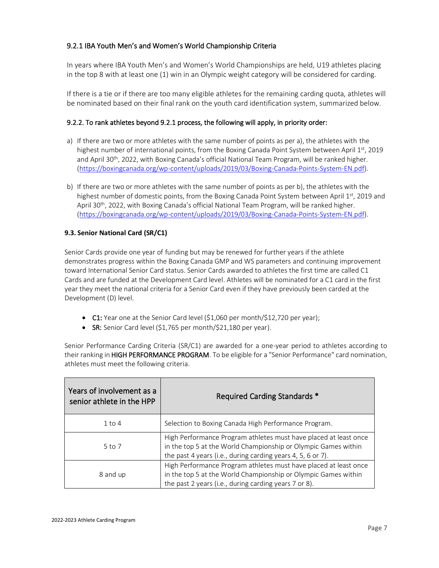# 9.2.1 IBA Youth Men's and Women's World Championship Criteria

In years where IBA Youth Men's and Women's World Championships are held, U19 athletes placing in the top 8 with at least one (1) win in an Olympic weight category will be considered for carding.

If there is a tie or if there are too many eligible athletes for the remaining carding quota, athletes will be nominated based on their final rank on the youth card identification system, summarized below.

# 9.2.2. To rank athletes beyond 9.2.1 process, the following will apply, in priority order:

- a) If there are two or more athletes with the same number of points as per a), the athletes with the highest number of international points, from the Boxing Canada Point System between April 1st, 2019 and April 30th, 2022, with Boxing Canada's official National Team Program, will be ranked higher. [\(https://boxingcanada.org/wp-content/uploads/2019/03/Boxing-Canada-Points-System-EN.pdf\)](https://boxingcanada.org/wp-content/uploads/2019/03/Boxing-Canada-Points-System-EN.pdf).
- b) If there are two or more athletes with the same number of points as per b), the athletes with the highest number of domestic points, from the Boxing Canada Point System between April 1st, 2019 and April 30<sup>th</sup>, 2022, with Boxing Canada's official National Team Program, will be ranked higher. [\(https://boxingcanada.org/wp-content/uploads/2019/03/Boxing-Canada-Points-System-EN.pdf\)](https://boxingcanada.org/wp-content/uploads/2019/03/Boxing-Canada-Points-System-EN.pdf).

# **9.3. Senior National Card (SR/C1)**

Senior Cards provide one year of funding but may be renewed for further years if the athlete demonstrates progress within the Boxing Canada GMP and WS parameters and continuing improvement toward International Senior Card status. Senior Cards awarded to athletes the first time are called C1 Cards and are funded at the Development Card level. Athletes will be nominated for a C1 card in the first year they meet the national criteria for a Senior Card even if they have previously been carded at the Development (D) level.

- C1: Year one at the Senior Card level  $(51,060$  per month/ $512,720$  per year);
- SR: Senior Card level (\$1,765 per month/\$21,180 per year).

Senior Performance Carding Criteria (SR/C1) are awarded for a one-year period to athletes according to their ranking in HIGH PERFORMANCE PROGRAM. To be eligible for a "Senior Performance" card nomination, athletes must meet the following criteria.

| Years of involvement as a<br>senior athlete in the HPP | Required Carding Standards *                                                                                                                                                                      |
|--------------------------------------------------------|---------------------------------------------------------------------------------------------------------------------------------------------------------------------------------------------------|
| $1$ to $4$                                             | Selection to Boxing Canada High Performance Program.                                                                                                                                              |
| $5$ to $7$                                             | High Performance Program athletes must have placed at least once<br>in the top 5 at the World Championship or Olympic Games within<br>the past 4 years (i.e., during carding years 4, 5, 6 or 7). |
| 8 and up                                               | High Performance Program athletes must have placed at least once<br>in the top 5 at the World Championship or Olympic Games within<br>the past 2 years (i.e., during carding years 7 or 8).       |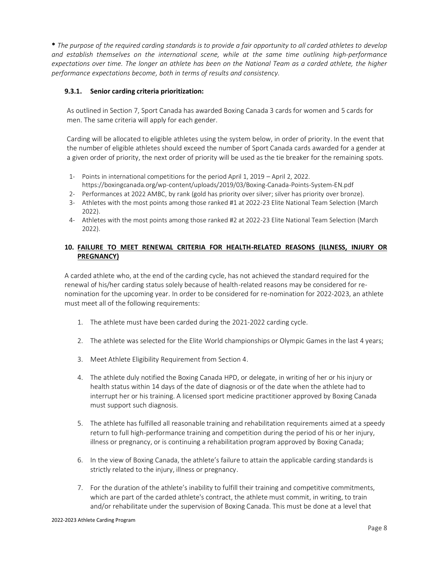\* *The purpose of the required carding standards is to provide a fair opportunity to all carded athletes to develop and establish themselves on the international scene, while at the same time outlining high-performance expectations over time. The longer an athlete has been on the National Team as a carded athlete, the higher performance expectations become, both in terms of results and consistency.* 

#### **9.3.1. Senior carding criteria prioritization:**

As outlined in Section 7, Sport Canada has awarded Boxing Canada 3 cards for women and 5 cards for men. The same criteria will apply for each gender.

Carding will be allocated to eligible athletes using the system below, in order of priority. In the event that the number of eligible athletes should exceed the number of Sport Canada cards awarded for a gender at a given order of priority, the next order of priority will be used as the tie breaker for the remaining spots.

- 1- Points in international competitions for the period April 1, 2019 April 2, 2022. https://boxingcanada.org/wp-content/uploads/2019/03/Boxing-Canada-Points-System-EN.pdf
- 2- Performances at 2022 AMBC, by rank (gold has priority over silver; silver has priority over bronze).
- 3- Athletes with the most points among those ranked #1 at 2022-23 Elite National Team Selection (March 2022).
- 4- Athletes with the most points among those ranked #2 at 2022-23 Elite National Team Selection (March 2022).

#### **10. FAILURE TO MEET RENEWAL CRITERIA FOR HEALTH-RELATED REASONS (ILLNESS, INJURY OR PREGNANCY)**

A carded athlete who, at the end of the carding cycle, has not achieved the standard required for the renewal of his/her carding status solely because of health-related reasons may be considered for renomination for the upcoming year. In order to be considered for re-nomination for 2022-2023, an athlete must meet all of the following requirements:

- 1. The athlete must have been carded during the 2021-2022 carding cycle.
- 2. The athlete was selected for the Elite World championships or Olympic Games in the last 4 years;
- 3. Meet Athlete Eligibility Requirement from Section 4.
- 4. The athlete duly notified the Boxing Canada HPD, or delegate, in writing of her or his injury or health status within 14 days of the date of diagnosis or of the date when the athlete had to interrupt her or his training. A licensed sport medicine practitioner approved by Boxing Canada must support such diagnosis.
- 5. The athlete has fulfilled all reasonable training and rehabilitation requirements aimed at a speedy return to full high-performance training and competition during the period of his or her injury, illness or pregnancy, or is continuing a rehabilitation program approved by Boxing Canada;
- 6. In the view of Boxing Canada, the athlete's failure to attain the applicable carding standards is strictly related to the injury, illness or pregnancy.
- 7. For the duration of the athlete's inability to fulfill their training and competitive commitments, which are part of the carded athlete's contract, the athlete must commit, in writing, to train and/or rehabilitate under the supervision of Boxing Canada. This must be done at a level that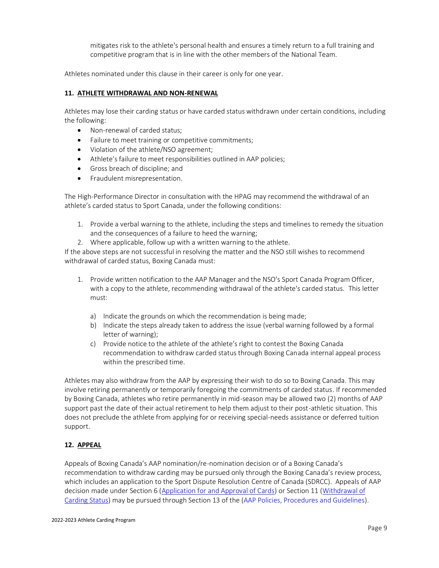mitigates risk to the athlete's personal health and ensures a timely return to a full training and competitive program that is in line with the other members of the National Team.

Athletes nominated under this clause in their career is only for one year.

#### **11. ATHLETE WITHDRAWAL AND NON-RENEWAL**

Athletes may lose their carding status or have carded status withdrawn under certain conditions, including the following:

- Non-renewal of carded status;
- Failure to meet training or competitive commitments;
- Violation of the athlete/NSO agreement;
- Athlete's failure to meet responsibilities outlined in AAP policies;
- Gross breach of discipline; and
- Fraudulent misrepresentation.

The High-Performance Director in consultation with the HPAG may recommend the withdrawal of an athlete's carded status to Sport Canada, under the following conditions:

- 1. Provide a verbal warning to the athlete, including the steps and timelines to remedy the situation and the consequences of a failure to heed the warning;
- 2. Where applicable, follow up with a written warning to the athlete.

If the above steps are not successful in resolving the matter and the NSO still wishes to recommend withdrawal of carded status, Boxing Canada must:

- 1. Provide written notification to the AAP Manager and the NSO's Sport Canada Program Officer, with a copy to the athlete, recommending withdrawal of the athlete's carded status. This letter must:
	- a) Indicate the grounds on which the recommendation is being made;
	- b) Indicate the steps already taken to address the issue (verbal warning followed by a formal letter of warning);
	- c) Provide notice to the athlete of the athlete's right to contest the Boxing Canada recommendation to withdraw carded status through Boxing Canada internal appeal process within the prescribed time.

Athletes may also withdraw from the AAP by expressing their wish to do so to Boxing Canada. This may involve retiring permanently or temporarily foregoing the commitments of carded status. If recommended by Boxing Canada, athletes who retire permanently in mid-season may be allowed two (2) months of AAP support past the date of their actual retirement to help them adjust to their post-athletic situation. This does not preclude the athlete from applying for or receiving special-needs assistance or deferred tuition support.

# **12. APPEAL**

Appeals of Boxing Canada's AAP nomination/re-nomination decision or of a Boxing Canada's recommendation to withdraw carding may be pursued only through the Boxing Canada's review process, which includes an application to the Sport Dispute Resolution Centre of Canada (SDRCC). Appeals of AAP decision made under Section 6 (Application for and Approval of Cards) or Section 11 (Withdrawal of Carding Status) may be pursued through Section 13 of the (AAP Policies, Procedures and Guidelines).